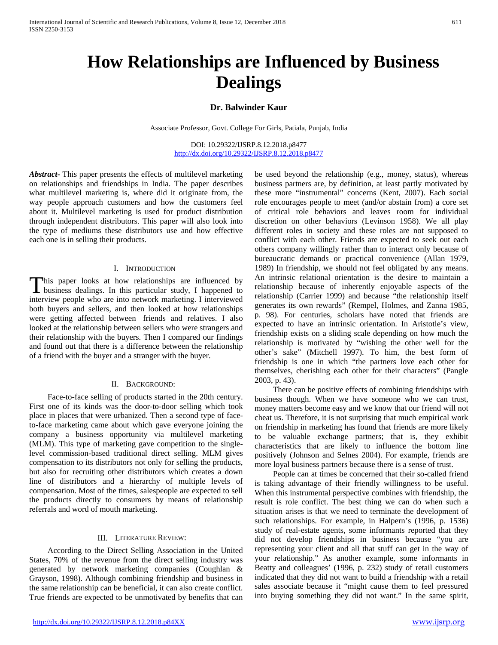# **Dr. Balwinder Kaur**

Associate Professor, Govt. College For Girls, Patiala, Punjab, India

DOI: 10.29322/IJSRP.8.12.2018.p8477 <http://dx.doi.org/10.29322/IJSRP.8.12.2018.p8477>

*Abstract***-** This paper presents the effects of multilevel marketing on relationships and friendships in India. The paper describes what multilevel marketing is, where did it originate from, the way people approach customers and how the customers feel about it. Multilevel marketing is used for product distribution through independent distributors. This paper will also look into the type of mediums these distributors use and how effective each one is in selling their products.

## I. INTRODUCTION

This paper looks at how relationships are influenced by This paper looks at how relationships are influenced by business dealings. In this particular study, I happened to interview people who are into network marketing. I interviewed both buyers and sellers, and then looked at how relationships were getting affected between friends and relatives. I also looked at the relationship between sellers who were strangers and their relationship with the buyers. Then I compared our findings and found out that there is a difference between the relationship of a friend with the buyer and a stranger with the buyer.

## II. BACKGROUND:

 Face-to-face selling of products started in the 20th century. First one of its kinds was the door-to-door selling which took place in places that were urbanized. Then a second type of faceto-face marketing came about which gave everyone joining the company a business opportunity via multilevel marketing (MLM). This type of marketing gave competition to the singlelevel commission-based traditional direct selling. MLM gives compensation to its distributors not only for selling the products, but also for recruiting other distributors which creates a down line of distributors and a hierarchy of multiple levels of compensation. Most of the times, salespeople are expected to sell the products directly to consumers by means of relationship referrals and word of mouth marketing.

# III. LITERATURE REVIEW:

 According to the Direct Selling Association in the United States, 70% of the revenue from the direct selling industry was generated by network marketing companies (Coughlan & Grayson, 1998). Although combining friendship and business in the same relationship can be beneficial, it can also create conflict. True friends are expected to be unmotivated by benefits that can be used beyond the relationship (e.g., money, status), whereas business partners are, by definition, at least partly motivated by these more "instrumental" concerns (Kent, 2007). Each social role encourages people to meet (and/or abstain from) a core set of critical role behaviors and leaves room for individual discretion on other behaviors (Levinson 1958). We all play different roles in society and these roles are not supposed to conflict with each other. Friends are expected to seek out each others company willingly rather than to interact only because of bureaucratic demands or practical convenience (Allan 1979, 1989) In friendship, we should not feel obligated by any means. An intrinsic relational orientation is the desire to maintain a relationship because of inherently enjoyable aspects of the relationship (Carrier 1999) and because "the relationship itself generates its own rewards" (Rempel, Holmes, and Zanna 1985, p. 98). For centuries, scholars have noted that friends are expected to have an intrinsic orientation. In Aristotle's view, friendship exists on a sliding scale depending on how much the relationship is motivated by "wishing the other well for the other's sake" (Mitchell 1997). To him, the best form of friendship is one in which "the partners love each other for themselves, cherishing each other for their characters" (Pangle 2003, p. 43).

 There can be positive effects of combining friendships with business though. When we have someone who we can trust, money matters become easy and we know that our friend will not cheat us. Therefore, it is not surprising that much empirical work on friendship in marketing has found that friends are more likely to be valuable exchange partners; that is, they exhibit characteristics that are likely to influence the bottom line positively (Johnson and Selnes 2004). For example, friends are more loyal business partners because there is a sense of trust.

 People can at times be concerned that their so-called friend is taking advantage of their friendly willingness to be useful. When this instrumental perspective combines with friendship, the result is role conflict. The best thing we can do when such a situation arises is that we need to terminate the development of such relationships. For example, in Halpern's (1996, p. 1536) study of real-estate agents, some informants reported that they did not develop friendships in business because "you are representing your client and all that stuff can get in the way of your relationship." As another example, some informants in Beatty and colleagues' (1996, p. 232) study of retail customers indicated that they did not want to build a friendship with a retail sales associate because it "might cause them to feel pressured into buying something they did not want." In the same spirit,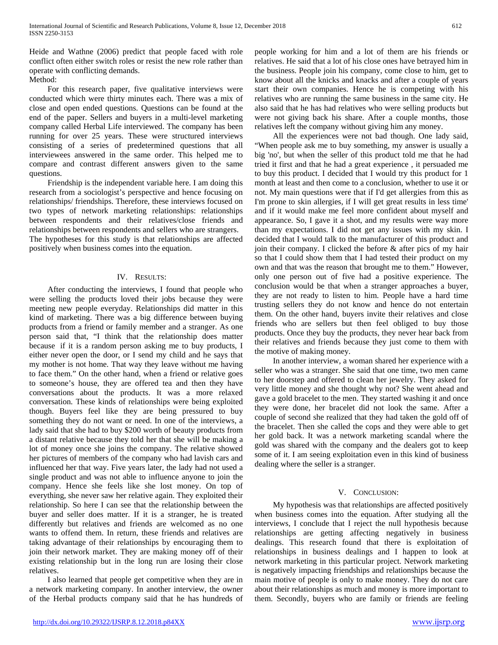Heide and Wathne (2006) predict that people faced with role conflict often either switch roles or resist the new role rather than operate with conflicting demands.

# Method:

 For this research paper, five qualitative interviews were conducted which were thirty minutes each. There was a mix of close and open ended questions. Questions can be found at the end of the paper. Sellers and buyers in a multi-level marketing company called Herbal Life interviewed. The company has been running for over 25 years. These were structured interviews consisting of a series of predetermined questions that all interviewees answered in the same order. This helped me to compare and contrast different answers given to the same questions.

 Friendship is the independent variable here. I am doing this research from a sociologist's perspective and hence focusing on relationships/ friendships. Therefore, these interviews focused on two types of network marketing relationships: relationships between respondents and their relatives/close friends and relationships between respondents and sellers who are strangers. The hypotheses for this study is that relationships are affected positively when business comes into the equation.

# IV. RESULTS:

 After conducting the interviews, I found that people who were selling the products loved their jobs because they were meeting new people everyday. Relationships did matter in this kind of marketing. There was a big difference between buying products from a friend or family member and a stranger. As one person said that, "I think that the relationship does matter because if it is a random person asking me to buy products, I either never open the door, or I send my child and he says that my mother is not home. That way they leave without me having to face them." On the other hand, when a friend or relative goes to someone's house, they are offered tea and then they have conversations about the products. It was a more relaxed conversation. These kinds of relationships were being exploited though. Buyers feel like they are being pressured to buy something they do not want or need. In one of the interviews, a lady said that she had to buy \$200 worth of beauty products from a distant relative because they told her that she will be making a lot of money once she joins the company. The relative showed her pictures of members of the company who had lavish cars and influenced her that way. Five years later, the lady had not used a single product and was not able to influence anyone to join the company. Hence she feels like she lost money. On top of everything, she never saw her relative again. They exploited their relationship. So here I can see that the relationship between the buyer and seller does matter. If it is a stranger, he is treated differently but relatives and friends are welcomed as no one wants to offend them. In return, these friends and relatives are taking advantage of their relationships by encouraging them to join their network market. They are making money off of their existing relationship but in the long run are losing their close relatives.

 I also learned that people get competitive when they are in a network marketing company. In another interview, the owner of the Herbal products company said that he has hundreds of people working for him and a lot of them are his friends or relatives. He said that a lot of his close ones have betrayed him in the business. People join his company, come close to him, get to know about all the knicks and knacks and after a couple of years start their own companies. Hence he is competing with his relatives who are running the same business in the same city. He also said that he has had relatives who were selling products but were not giving back his share. After a couple months, those relatives left the company without giving him any money.

 All the experiences were not bad though. One lady said, "When people ask me to buy something, my answer is usually a big 'no', but when the seller of this product told me that he had tried it first and that he had a great experience , it persuaded me to buy this product. I decided that I would try this product for 1 month at least and then come to a conclusion, whether to use it or not. My main questions were that if I'd get allergies from this as I'm prone to skin allergies, if I will get great results in less time' and if it would make me feel more confident about myself and appearance. So, I gave it a shot, and my results were way more than my expectations. I did not get any issues with my skin. I decided that I would talk to the manufacturer of this product and join their company. I clicked the before & after pics of my hair so that I could show them that I had tested their product on my own and that was the reason that brought me to them." However, only one person out of five had a positive experience. The conclusion would be that when a stranger approaches a buyer, they are not ready to listen to him. People have a hard time trusting sellers they do not know and hence do not entertain them. On the other hand, buyers invite their relatives and close friends who are sellers but then feel obliged to buy those products. Once they buy the products, they never hear back from their relatives and friends because they just come to them with the motive of making money.

 In another interview, a woman shared her experience with a seller who was a stranger. She said that one time, two men came to her doorstep and offered to clean her jewelry. They asked for very little money and she thought why not? She went ahead and gave a gold bracelet to the men. They started washing it and once they were done, her bracelet did not look the same. After a couple of second she realized that they had taken the gold off of the bracelet. Then she called the cops and they were able to get her gold back. It was a network marketing scandal where the gold was shared with the company and the dealers got to keep some of it. I am seeing exploitation even in this kind of business dealing where the seller is a stranger.

## V. CONCLUSION:

 My hypothesis was that relationships are affected positively when business comes into the equation. After studying all the interviews, I conclude that I reject the null hypothesis because relationships are getting affecting negatively in business dealings. This research found that there is exploitation of relationships in business dealings and I happen to look at network marketing in this particular project. Network marketing is negatively impacting friendships and relationships because the main motive of people is only to make money. They do not care about their relationships as much and money is more important to them. Secondly, buyers who are family or friends are feeling